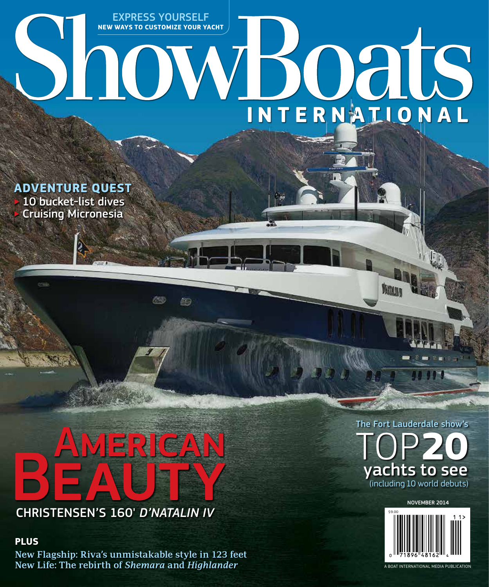## EXPRESS YOURSELF **NEW WAYS TO CUSTOMIZE YOUR YACHT** ShowBoats INTERNAILONAL

**ADVENTURE QUEST** 10 bucket-list dives

◃ Cruising Micronesia

# EXPERIGAN

**RES** 

CHRISTENSEN'S 160' *D'NATALIN IV*

#### **PLUS**

**New Flagship: Riva's unmistakable style in 123 feet New Life: The rebirth of** *Shemara* **and** *Highlander*



**Mars** 



A BOAT INTERNATIONAL MEDIA PUBLICATION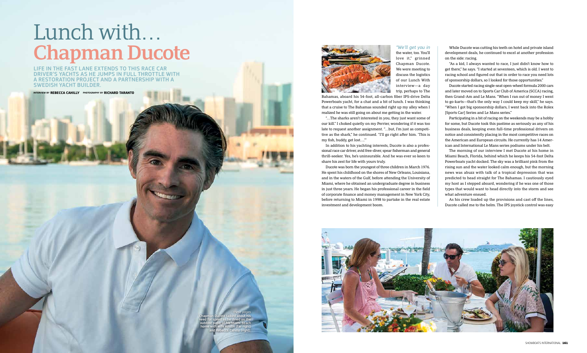#### *"We'll get you in*

the water, too. You'll love it," grinned Chapman Ducote. We were meeting to discuss the logistics of our Lunch With interview—a day trip, perhaps to The

Bahamas, aboard his 54-foot, all-carbon fber IPS-drive Delta Powerboats yacht, for a chat and a bit of lunch. I was thinking that a cruise to The Bahamas sounded right up my alley when I realized he was still going on about me getting in the water.

"…The sharks aren't interested in you, they just want some of our kill." I choked quietly on my Perrier, wondering if it was too late to request another assignment. "…but, I'm just as competitive as the shark," he continued. "I'll go right afer him. 'This is my fsh, buddy, get lost….'"

# Lunch with… While Ducote was cutting his teeth on hotel and private island<br>the water, too. You'll get you in While Ducote was cutting his teeth on hotel and private island<br>love it," grinned development deals, he continued to excel at

In addition to his yachting interests, Ducote is also a professional race car driver, avid free-diver, spear fsherman and general thrill-seeker. Yes, he's uninsurable. And he was ever so keen to share his zest for life with yours truly.

Ducote was born the youngest of three children in March 1976. He spent his childhood on the shores of New Orleans, Louisiana, and in the waters of the Gulf, before attending the University of Miami, where he obtained an undergraduate degree in business in just three years. He began his professional career in the feld of corporate fnance and money management in New York City, before returning to Miami in 1998 to partake in the real estate investment and development boom.



LIFE IN THE FAST LANE EXTENDS TO THIS RACE CAR DRIVER'S YACHTS AS HE JUMPS IN FULL THROTTLE WITH A RESTORATION PROJECT AND A PARTNERSHIP WITH A SWEDISH YACHT BUILDER.

INTERVIEW BY **REBECCA CAHILLY** PHOTOGRAPHY BY **RICHARD TARANTO**



As his crew loaded up the provisions and cast off the lines, Ducote called me to the helm. The IPS joystick control was easy

development deals, he continued to excel at another profession on the side: racing.

"As a kid, I always wanted to race, I just didn't know how to get there," he says. "I started at seventeen, which is old. I went to racing school and fgured out that in order to race you need lots of sponsorship dollars, so I looked for those opportunities."

Ducote started racing single-seat open-wheel formula 2000 cars and later moved on to Sports Car Club of America (SCCA) racing, then Grand-Am and Le Mans. "When I ran out of money I went to go-karts—that's the only way I could keep my skill," he says. "When I got big sponsorship dollars, I went back into the Rolex [Sports Car] Series and Le Mans series."

Participating in a bit of racing on the weekends may be a hobby for some, but Ducote took this pastime as seriously as any of his business deals, keeping even full-time professional drivers on notice and consistently placing in the most competitive races on the American and European circuits. He currently has 14 American and International Le Mans series podiums under his belt.

The morning of our interview I met Ducote at his home in Miami Beach, Florida, behind which he keeps his 54-foot Delta Powerboats yacht docked. The sky was a brilliant pink from the rising sun and the water looked calm enough, but the morning news was abuzz with talk of a tropical depression that was predicted to head straight for The Bahamas. I cautiously eyed my host as I stepped aboard, wondering if he was one of those types that would want to head directly into the storm and see what adventure ensued.

*these pages*

Chapman Ducote talked about his need for speed as he dined on the outdoor patio of his Miami Beach home with wife Kristin (far right) and Rebecca Cahilly (right).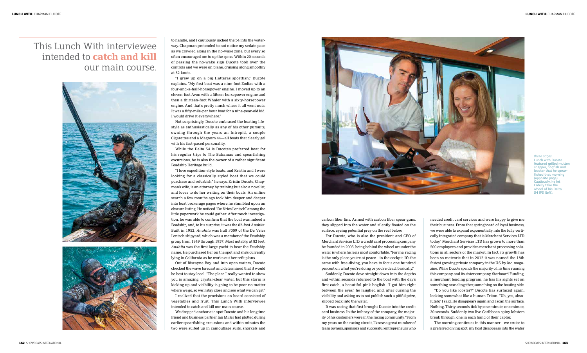*these pages* Lunch with Ducote featured grilled mutto snapper, hogfish and lobster that he spear fished that morning (opposite page). itiously, he let Cahilly take the wheel of his Delta 54 IPS (left).

to handle, and I cautiously inched the 54 into the waterway. Chapman pretended to not notice my sedate pace as we crawled along in the no-wake zone, but every so ofen encouraged me to up the rpms. Within 20 seconds of passing the no-wake sign Ducote took over the controls and we were on plane, cruising along smoothly at 32 knots.

"I grew up on a big Hatteras sportfish," Ducote explains. "My frst boat was a nine-foot Zodiac with a four-and-a-half-horsepower engine. I moved up to an eleven-foot Avon with a ffeen-horsepower engine and then a thirteen-foot Whaler with a sixty-horsepower engine. And that's pretty much where it all went nuts. It was a ffy-mile-per hour boat for a nine-year-old kid. I would drive it everywhere."

Not surprisingly, Ducote embraced the boating lifestyle as enthusiastically as any of his other pursuits, owning through the years an Intrepid, a couple Cigarettes and a Magnum 44—all boats that clearly gel with his fast-paced personality.

While the Delta 54 is Ducote's preferred boat for his regular trips to The Bahamas and spearfishing excursions, he is also the owner of a rather signifcant Feadship Heritage build.

"I love expedition-style boats, and Kristin and I were looking for a classically styled boat that we could purchase and refurbish," he says. Kristin Ducote, Chapman's wife, is an attorney by training but also a novelist, and loves to do her writing on their boats. An online search a few months ago took him deeper and deeper into boat brokerage pages where he stumbled upon an obscure listing. He noticed "De Vries Lentsch" among the little paperwork he could gather. Afer much investigation, he was able to confrm that the boat was indeed a Feadship, and, to his surprise, it was the 82-foot *Anahita*. Built in 1952, *Anahita* was hull F009 of the De Vries Lentsch shipyard, which was a member of the Feadship group from 1949 through 1957. Most notably, at 82 feet, *Anahita* was the frst large yacht to bear the Feadship name. He purchased her on the spot and she's currently lying in California as he works out her reft plans.

Out of Biscayne Bay and into open waters, Ducote checked the wave forecast and determined that it would be best to stay local. "The place I really wanted to show you is amazing, crystal-clear water, but this storm is kicking up and visibility is going to be poor no matter where we go, so we'll stay close and see what we can get."

I realized that the provisions on board consisted of vegetables and fruit. This Lunch With interviewee intended to catch and kill our main course.

We dropped anchor at a spot Ducote and his longtime friend and business partner Ian Miller had plotted during earlier spearfshing excursions and within minutes the two were suited up in camoufage suits, snorkels and



carbon fber fns. Armed with carbon fber spear guns, they slipped into the water and silently foated on the surface, eyeing potential prey on the reef below.

For Ducote, who is also the president and CEO of Merchant Services LTD, a credit card processing company he founded in 2005, being behind the wheel or under the water is where he feels most comfortable. "For me, racing is the only place you're at peace—in the cockpit. It's the same with free-diving, you have to focus one hundred percent on what you're doing or you're dead, basically."

Suddenly, Ducote dove straight down into the depths and within seconds returned to the boat with the day's first catch, a beautiful pink hogfish. "I got him right between the eyes," he laughed and, afer cursing the visibility and asking us to not publish such a pitiful prize, slipped back into the water.

It was racing that frst brought Ducote into the credit card business. In the infancy of the company, the majority of his customers were in the racing community. "From my years on the racing circuit, I knew a great number of team owners, sponsors and successful entrepreneurs who

## This Lunch With interviewee intended to **catch and kill** our main course.



needed credit card services and were happy to give me their business. From that springboard of loyal business, we were able to expand exponentially into the fully vertically integrated company that is Merchant Services LTD today." Merchant Services LTD has grown to more than 500 employees and provides merchant processing solutions in all sectors of the market. In fact, its growth has been so meteoric that in 2012 it was named the 18th fastest growing private company in the U.S. by *Inc*. magazine.While Ducote spends the majority of his time running this company and its sister company, Starboard Funding, a merchant lending program, he has his sights set on something new altogether, something on the boating side.

"Do you like lobster?" Ducote has surfaced again, looking somewhat like a human Triton. "Uh, yes, absolutely," I said. He disappears again and I scan the surface. Nothing. Thirty seconds tick by; one minute; one minute, 30 seconds. Suddenly two live Caribbean spiny lobsters break through, one in each hand of their captor.

The morning continues in this manner—we cruise to a preferred diving spot, my host disappears into the water